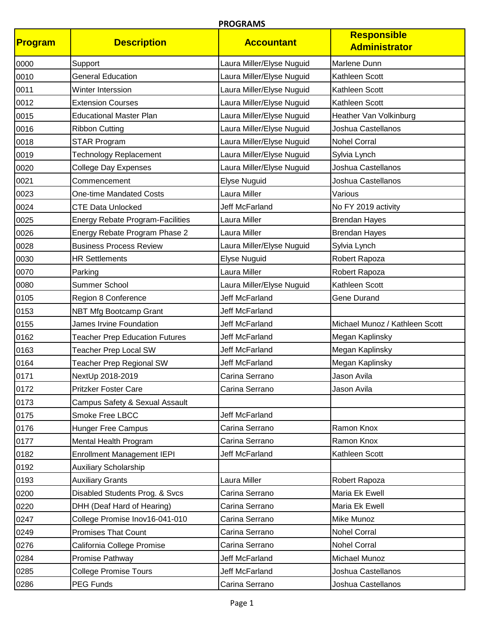| Program | <b>Description</b>                      | <b>Accountant</b>         | <b>Responsible</b><br><b>Administrator</b> |
|---------|-----------------------------------------|---------------------------|--------------------------------------------|
| 0000    | Support                                 | Laura Miller/Elyse Nuguid | Marlene Dunn                               |
| 0010    | <b>General Education</b>                | Laura Miller/Elyse Nuguid | Kathleen Scott                             |
| 0011    | Winter Interssion                       | Laura Miller/Elyse Nuguid | Kathleen Scott                             |
| 0012    | <b>Extension Courses</b>                | Laura Miller/Elyse Nuguid | Kathleen Scott                             |
| 0015    | <b>Educational Master Plan</b>          | Laura Miller/Elyse Nuguid | Heather Van Volkinburg                     |
| 0016    | <b>Ribbon Cutting</b>                   | Laura Miller/Elyse Nuguid | Joshua Castellanos                         |
| 0018    | <b>STAR Program</b>                     | Laura Miller/Elyse Nuguid | <b>Nohel Corral</b>                        |
| 0019    | <b>Technology Replacement</b>           | Laura Miller/Elyse Nuguid | Sylvia Lynch                               |
| 0020    | College Day Expenses                    | Laura Miller/Elyse Nuguid | Joshua Castellanos                         |
| 0021    | Commencement                            | <b>Elyse Nuguid</b>       | Joshua Castellanos                         |
| 0023    | <b>One-time Mandated Costs</b>          | Laura Miller              | Various                                    |
| 0024    | <b>CTE Data Unlocked</b>                | <b>Jeff McFarland</b>     | No FY 2019 activity                        |
| 0025    | <b>Energy Rebate Program-Facilities</b> | Laura Miller              | <b>Brendan Hayes</b>                       |
| 0026    | Energy Rebate Program Phase 2           | Laura Miller              | <b>Brendan Hayes</b>                       |
| 0028    | <b>Business Process Review</b>          | Laura Miller/Elyse Nuguid | Sylvia Lynch                               |
| 0030    | <b>HR Settlements</b>                   | Elyse Nuguid              | Robert Rapoza                              |
| 0070    | Parking                                 | Laura Miller              | Robert Rapoza                              |
| 0080    | Summer School                           | Laura Miller/Elyse Nuguid | Kathleen Scott                             |
| 0105    | Region 8 Conference                     | <b>Jeff McFarland</b>     | <b>Gene Durand</b>                         |
| 0153    | <b>NBT Mfg Bootcamp Grant</b>           | <b>Jeff McFarland</b>     |                                            |
| 0155    | James Irvine Foundation                 | Jeff McFarland            | Michael Munoz / Kathleen Scott             |
| 0162    | <b>Teacher Prep Education Futures</b>   | <b>Jeff McFarland</b>     | Megan Kaplinsky                            |
| 0163    | <b>Teacher Prep Local SW</b>            | <b>Jeff McFarland</b>     | Megan Kaplinsky                            |
| 0164    | <b>Teacher Prep Regional SW</b>         | <b>Jeff McFarland</b>     | Megan Kaplinsky                            |
| 0171    | NextUp 2018-2019                        | Carina Serrano            | Jason Avila                                |
| 0172    | <b>Pritzker Foster Care</b>             | Carina Serrano            | Jason Avila                                |
| 0173    | Campus Safety & Sexual Assault          |                           |                                            |
| 0175    | Smoke Free LBCC                         | Jeff McFarland            |                                            |
| 0176    | <b>Hunger Free Campus</b>               | Carina Serrano            | Ramon Knox                                 |
| 0177    | Mental Health Program                   | Carina Serrano            | Ramon Knox                                 |
| 0182    | <b>Enrollment Management IEPI</b>       | Jeff McFarland            | Kathleen Scott                             |
| 0192    | <b>Auxiliary Scholarship</b>            |                           |                                            |
| 0193    | <b>Auxiliary Grants</b>                 | Laura Miller              | Robert Rapoza                              |
| 0200    | Disabled Students Prog. & Svcs          | Carina Serrano            | Maria Ek Ewell                             |
| 0220    | DHH (Deaf Hard of Hearing)              | Carina Serrano            | Maria Ek Ewell                             |
| 0247    | College Promise Inov16-041-010          | Carina Serrano            | Mike Munoz                                 |
| 0249    | <b>Promises That Count</b>              | Carina Serrano            | <b>Nohel Corral</b>                        |
| 0276    | California College Promise              | Carina Serrano            | <b>Nohel Corral</b>                        |
| 0284    | Promise Pathway                         | Jeff McFarland            | Michael Munoz                              |
| 0285    | <b>College Promise Tours</b>            | Jeff McFarland            | Joshua Castellanos                         |
| 0286    | PEG Funds                               | Carina Serrano            | Joshua Castellanos                         |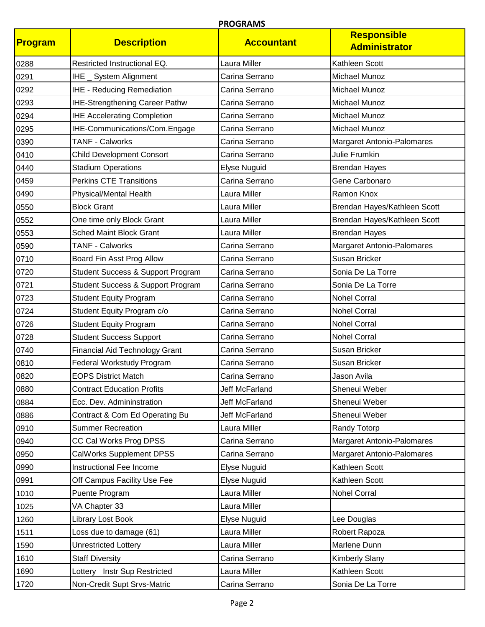| <b>Program</b> | <b>Description</b>                    | <b>Accountant</b> | <b>Responsible</b><br><b>Administrator</b> |
|----------------|---------------------------------------|-------------------|--------------------------------------------|
| 0288           | Restricted Instructional EQ.          | Laura Miller      | Kathleen Scott                             |
| 0291           | IHE _ System Alignment                | Carina Serrano    | <b>Michael Munoz</b>                       |
| 0292           | <b>IHE - Reducing Remediation</b>     | Carina Serrano    | Michael Munoz                              |
| 0293           | IHE-Strengthening Career Pathw        | Carina Serrano    | Michael Munoz                              |
| 0294           | <b>IHE Accelerating Completion</b>    | Carina Serrano    | Michael Munoz                              |
| 0295           | IHE-Communications/Com.Engage         | Carina Serrano    | Michael Munoz                              |
| 0390           | <b>TANF - Calworks</b>                | Carina Serrano    | Margaret Antonio-Palomares                 |
| 0410           | <b>Child Development Consort</b>      | Carina Serrano    | Julie Frumkin                              |
| 0440           | <b>Stadium Operations</b>             | Elyse Nuguid      | <b>Brendan Hayes</b>                       |
| 0459           | <b>Perkins CTE Transitions</b>        | Carina Serrano    | Gene Carbonaro                             |
| 0490           | Physical/Mental Health                | Laura Miller      | Ramon Knox                                 |
| 0550           | <b>Block Grant</b>                    | Laura Miller      | Brendan Hayes/Kathleen Scott               |
| 0552           | One time only Block Grant             | Laura Miller      | Brendan Hayes/Kathleen Scott               |
| 0553           | <b>Sched Maint Block Grant</b>        | Laura Miller      | <b>Brendan Hayes</b>                       |
| 0590           | <b>TANF - Calworks</b>                | Carina Serrano    | Margaret Antonio-Palomares                 |
| 0710           | Board Fin Asst Prog Allow             | Carina Serrano    | Susan Bricker                              |
| 0720           | Student Success & Support Program     | Carina Serrano    | Sonia De La Torre                          |
| 0721           | Student Success & Support Program     | Carina Serrano    | Sonia De La Torre                          |
| 0723           | <b>Student Equity Program</b>         | Carina Serrano    | <b>Nohel Corral</b>                        |
| 0724           | Student Equity Program c/o            | Carina Serrano    | <b>Nohel Corral</b>                        |
| 0726           | <b>Student Equity Program</b>         | Carina Serrano    | <b>Nohel Corral</b>                        |
| 0728           | <b>Student Success Support</b>        | Carina Serrano    | <b>Nohel Corral</b>                        |
| 0740           | <b>Financial Aid Technology Grant</b> | Carina Serrano    | Susan Bricker                              |
| 0810           | Federal Workstudy Program             | Carina Serrano    | Susan Bricker                              |
| 0820           | <b>EOPS District Match</b>            | Carina Serrano    | Jason Avila                                |
| 0880           | <b>Contract Education Profits</b>     | Jeff McFarland    | Sheneui Weber                              |
| 0884           | Ecc. Dev. Admininstration             | Jeff McFarland    | Sheneui Weber                              |
| 0886           | Contract & Com Ed Operating Bu        | Jeff McFarland    | Sheneui Weber                              |
| 0910           | <b>Summer Recreation</b>              | Laura Miller      | Randy Totorp                               |
| 0940           | CC Cal Works Prog DPSS                | Carina Serrano    | Margaret Antonio-Palomares                 |
| 0950           | <b>CalWorks Supplement DPSS</b>       | Carina Serrano    | Margaret Antonio-Palomares                 |
| 0990           | Instructional Fee Income              | Elyse Nuguid      | Kathleen Scott                             |
| 0991           | Off Campus Facility Use Fee           | Elyse Nuguid      | Kathleen Scott                             |
| 1010           | Puente Program                        | Laura Miller      | <b>Nohel Corral</b>                        |
| 1025           | VA Chapter 33                         | Laura Miller      |                                            |
| 1260           | Library Lost Book                     | Elyse Nuguid      | Lee Douglas                                |
| 1511           | Loss due to damage (61)               | Laura Miller      | Robert Rapoza                              |
| 1590           | <b>Unrestricted Lottery</b>           | Laura Miller      | Marlene Dunn                               |
| 1610           | <b>Staff Diversity</b>                | Carina Serrano    | <b>Kimberly Slany</b>                      |
| 1690           | Lottery Instr Sup Restricted          | Laura Miller      | Kathleen Scott                             |
| 1720           | Non-Credit Supt Srvs-Matric           | Carina Serrano    | Sonia De La Torre                          |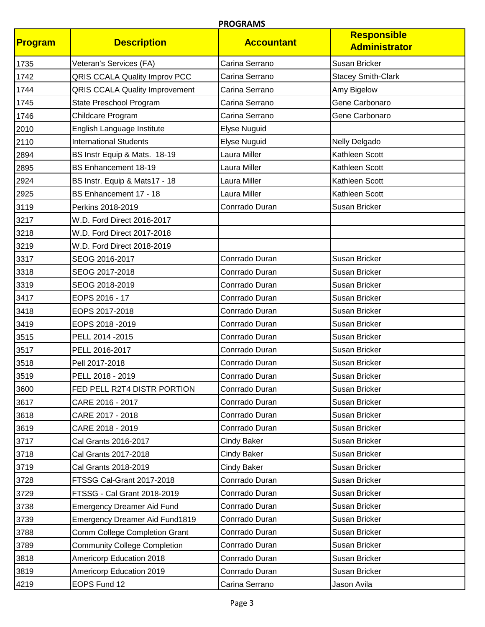| Program | <b>Description</b>                    | <b>Accountant</b>   | <b>Responsible</b><br><b>Administrator</b> |
|---------|---------------------------------------|---------------------|--------------------------------------------|
| 1735    | Veteran's Services (FA)               | Carina Serrano      | Susan Bricker                              |
| 1742    | <b>QRIS CCALA Quality Improv PCC</b>  | Carina Serrano      | <b>Stacey Smith-Clark</b>                  |
| 1744    | <b>QRIS CCALA Quality Improvement</b> | Carina Serrano      | Amy Bigelow                                |
| 1745    | State Preschool Program               | Carina Serrano      | Gene Carbonaro                             |
| 1746    | Childcare Program                     | Carina Serrano      | Gene Carbonaro                             |
| 2010    | English Language Institute            | <b>Elyse Nuguid</b> |                                            |
| 2110    | <b>International Students</b>         | <b>Elyse Nuguid</b> | Nelly Delgado                              |
| 2894    | BS Instr Equip & Mats. 18-19          | Laura Miller        | Kathleen Scott                             |
| 2895    | BS Enhancement 18-19                  | Laura Miller        | Kathleen Scott                             |
| 2924    | BS Instr. Equip & Mats17 - 18         | Laura Miller        | Kathleen Scott                             |
| 2925    | BS Enhancement 17 - 18                | Laura Miller        | Kathleen Scott                             |
| 3119    | Perkins 2018-2019                     | Conrrado Duran      | Susan Bricker                              |
| 3217    | W.D. Ford Direct 2016-2017            |                     |                                            |
| 3218    | W.D. Ford Direct 2017-2018            |                     |                                            |
| 3219    | W.D. Ford Direct 2018-2019            |                     |                                            |
| 3317    | SEOG 2016-2017                        | Conrrado Duran      | Susan Bricker                              |
| 3318    | SEOG 2017-2018                        | Conrrado Duran      | Susan Bricker                              |
| 3319    | SEOG 2018-2019                        | Conrrado Duran      | Susan Bricker                              |
| 3417    | EOPS 2016 - 17                        | Conrrado Duran      | Susan Bricker                              |
| 3418    | EOPS 2017-2018                        | Conrrado Duran      | Susan Bricker                              |
| 3419    | EOPS 2018 - 2019                      | Conrrado Duran      | Susan Bricker                              |
| 3515    | PELL 2014 - 2015                      | Conrrado Duran      | Susan Bricker                              |
| 3517    | PELL 2016-2017                        | Conrrado Duran      | Susan Bricker                              |
| 3518    | Pell 2017-2018                        | Conrrado Duran      | Susan Bricker                              |
| 3519    | PELL 2018 - 2019                      | Conrrado Duran      | Susan Bricker                              |
| 3600    | FED PELL R2T4 DISTR PORTION           | Conrrado Duran      | Susan Bricker                              |
| 3617    | CARE 2016 - 2017                      | Conrrado Duran      | Susan Bricker                              |
| 3618    | CARE 2017 - 2018                      | Conrrado Duran      | Susan Bricker                              |
| 3619    | CARE 2018 - 2019                      | Conrrado Duran      | Susan Bricker                              |
| 3717    | Cal Grants 2016-2017                  | <b>Cindy Baker</b>  | Susan Bricker                              |
| 3718    | Cal Grants 2017-2018                  | <b>Cindy Baker</b>  | Susan Bricker                              |
| 3719    | Cal Grants 2018-2019                  | Cindy Baker         | Susan Bricker                              |
| 3728    | FTSSG Cal-Grant 2017-2018             | Conrrado Duran      | Susan Bricker                              |
| 3729    | FTSSG - Cal Grant 2018-2019           | Conrrado Duran      | Susan Bricker                              |
| 3738    | <b>Emergency Dreamer Aid Fund</b>     | Conrrado Duran      | Susan Bricker                              |
| 3739    | <b>Emergency Dreamer Aid Fund1819</b> | Conrrado Duran      | Susan Bricker                              |
| 3788    | Comm College Completion Grant         | Conrrado Duran      | Susan Bricker                              |
| 3789    | <b>Community College Completion</b>   | Conrrado Duran      | Susan Bricker                              |
| 3818    | Americorp Education 2018              | Conrrado Duran      | Susan Bricker                              |
| 3819    | Americorp Education 2019              | Conrrado Duran      | Susan Bricker                              |
| 4219    | EOPS Fund 12                          | Carina Serrano      | Jason Avila                                |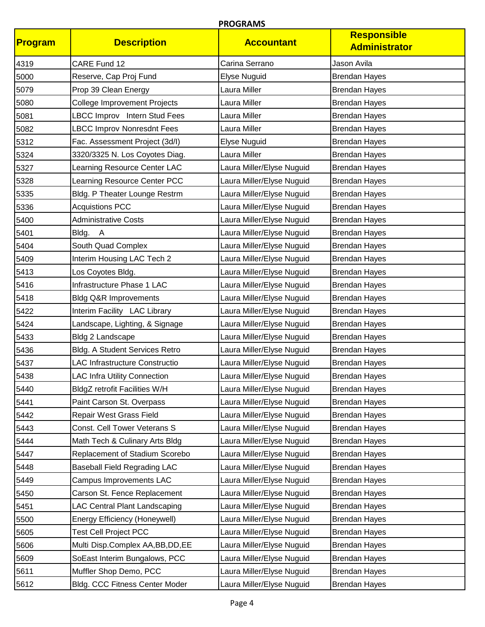| Program | <b>Description</b>                    | <b>Accountant</b>         | <b>Responsible</b><br><b>Administrator</b> |
|---------|---------------------------------------|---------------------------|--------------------------------------------|
| 4319    | CARE Fund 12                          | Carina Serrano            | Jason Avila                                |
| 5000    | Reserve, Cap Proj Fund                | Elyse Nuguid              | <b>Brendan Hayes</b>                       |
| 5079    | Prop 39 Clean Energy                  | Laura Miller              | <b>Brendan Hayes</b>                       |
| 5080    | <b>College Improvement Projects</b>   | Laura Miller              | <b>Brendan Hayes</b>                       |
| 5081    | LBCC Improv Intern Stud Fees          | Laura Miller              | <b>Brendan Hayes</b>                       |
| 5082    | <b>LBCC Improv Nonresdnt Fees</b>     | Laura Miller              | <b>Brendan Hayes</b>                       |
| 5312    | Fac. Assessment Project (3d/I)        | Elyse Nuguid              | <b>Brendan Hayes</b>                       |
| 5324    | 3320/3325 N. Los Coyotes Diag.        | Laura Miller              | <b>Brendan Hayes</b>                       |
| 5327    | Learning Resource Center LAC          | Laura Miller/Elyse Nuguid | <b>Brendan Hayes</b>                       |
| 5328    | Learning Resource Center PCC          | Laura Miller/Elyse Nuguid | <b>Brendan Hayes</b>                       |
| 5335    | Bldg. P Theater Lounge Restrm         | Laura Miller/Elyse Nuguid | <b>Brendan Hayes</b>                       |
| 5336    | <b>Acquistions PCC</b>                | Laura Miller/Elyse Nuguid | <b>Brendan Hayes</b>                       |
| 5400    | <b>Administrative Costs</b>           | Laura Miller/Elyse Nuguid | <b>Brendan Hayes</b>                       |
| 5401    | Bldg. A                               | Laura Miller/Elyse Nuguid | <b>Brendan Hayes</b>                       |
| 5404    | South Quad Complex                    | Laura Miller/Elyse Nuguid | <b>Brendan Hayes</b>                       |
| 5409    | Interim Housing LAC Tech 2            | Laura Miller/Elyse Nuguid | <b>Brendan Hayes</b>                       |
| 5413    | Los Coyotes Bldg.                     | Laura Miller/Elyse Nuguid | <b>Brendan Hayes</b>                       |
| 5416    | Infrastructure Phase 1 LAC            | Laura Miller/Elyse Nuguid | <b>Brendan Hayes</b>                       |
| 5418    | <b>Bldg Q&amp;R Improvements</b>      | Laura Miller/Elyse Nuguid | <b>Brendan Hayes</b>                       |
| 5422    | Interim Facility LAC Library          | Laura Miller/Elyse Nuguid | <b>Brendan Hayes</b>                       |
| 5424    | Landscape, Lighting, & Signage        | Laura Miller/Elyse Nuguid | <b>Brendan Hayes</b>                       |
| 5433    | Bldg 2 Landscape                      | Laura Miller/Elyse Nuguid | <b>Brendan Hayes</b>                       |
| 5436    | <b>Bldg. A Student Services Retro</b> | Laura Miller/Elyse Nuguid | <b>Brendan Hayes</b>                       |
| 5437    | <b>LAC Infrastructure Constructio</b> | Laura Miller/Elyse Nuguid | <b>Brendan Hayes</b>                       |
| 5438    | <b>LAC Infra Utility Connection</b>   | Laura Miller/Elyse Nuguid | <b>Brendan Hayes</b>                       |
| 5440    | BldgZ retrofit Facilities W/H         | Laura Miller/Elyse Nuguid | <b>Brendan Hayes</b>                       |
| 5441    | Paint Carson St. Overpass             | Laura Miller/Elyse Nuguid | <b>Brendan Hayes</b>                       |
| 5442    | Repair West Grass Field               | Laura Miller/Elyse Nuguid | <b>Brendan Hayes</b>                       |
| 5443    | Const. Cell Tower Veterans S          | Laura Miller/Elyse Nuguid | <b>Brendan Hayes</b>                       |
| 5444    | Math Tech & Culinary Arts Bldg        | Laura Miller/Elyse Nuguid | <b>Brendan Hayes</b>                       |
| 5447    | Replacement of Stadium Scorebo        | Laura Miller/Elyse Nuguid | <b>Brendan Hayes</b>                       |
| 5448    | <b>Baseball Field Regrading LAC</b>   | Laura Miller/Elyse Nuguid | <b>Brendan Hayes</b>                       |
| 5449    | Campus Improvements LAC               | Laura Miller/Elyse Nuguid | <b>Brendan Hayes</b>                       |
| 5450    | Carson St. Fence Replacement          | Laura Miller/Elyse Nuguid | <b>Brendan Hayes</b>                       |
| 5451    | <b>LAC Central Plant Landscaping</b>  | Laura Miller/Elyse Nuguid | <b>Brendan Hayes</b>                       |
| 5500    | Energy Efficiency (Honeywell)         | Laura Miller/Elyse Nuguid | <b>Brendan Hayes</b>                       |
| 5605    | <b>Test Cell Project PCC</b>          | Laura Miller/Elyse Nuguid | <b>Brendan Hayes</b>                       |
| 5606    | Multi Disp.Complex AA, BB, DD, EE     | Laura Miller/Elyse Nuguid | <b>Brendan Hayes</b>                       |
| 5609    | SoEast Interim Bungalows, PCC         | Laura Miller/Elyse Nuguid | <b>Brendan Hayes</b>                       |
| 5611    | Muffler Shop Demo, PCC                | Laura Miller/Elyse Nuguid | <b>Brendan Hayes</b>                       |
| 5612    | <b>Bldg. CCC Fitness Center Moder</b> | Laura Miller/Elyse Nuguid | <b>Brendan Hayes</b>                       |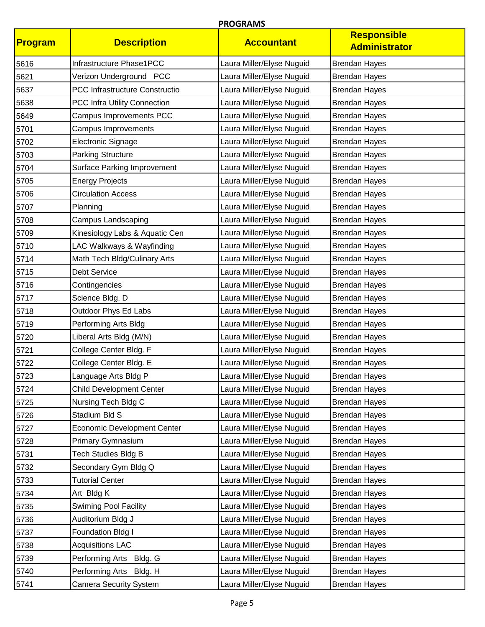| Program | <b>Description</b>                 | <b>Accountant</b>         | <b>Responsible</b><br><b>Administrator</b> |
|---------|------------------------------------|---------------------------|--------------------------------------------|
| 5616    | Infrastructure Phase1PCC           | Laura Miller/Elyse Nuguid | <b>Brendan Hayes</b>                       |
| 5621    | Verizon Underground PCC            | Laura Miller/Elyse Nuguid | <b>Brendan Hayes</b>                       |
| 5637    | PCC Infrastructure Constructio     | Laura Miller/Elyse Nuguid | <b>Brendan Hayes</b>                       |
| 5638    | PCC Infra Utility Connection       | Laura Miller/Elyse Nuguid | <b>Brendan Hayes</b>                       |
| 5649    | Campus Improvements PCC            | Laura Miller/Elyse Nuguid | <b>Brendan Hayes</b>                       |
| 5701    | Campus Improvements                | Laura Miller/Elyse Nuguid | <b>Brendan Hayes</b>                       |
| 5702    | Electronic Signage                 | Laura Miller/Elyse Nuguid | <b>Brendan Hayes</b>                       |
| 5703    | <b>Parking Structure</b>           | Laura Miller/Elyse Nuguid | <b>Brendan Hayes</b>                       |
| 5704    | <b>Surface Parking Improvement</b> | Laura Miller/Elyse Nuguid | <b>Brendan Hayes</b>                       |
| 5705    | <b>Energy Projects</b>             | Laura Miller/Elyse Nuguid | <b>Brendan Hayes</b>                       |
| 5706    | <b>Circulation Access</b>          | Laura Miller/Elyse Nuguid | <b>Brendan Hayes</b>                       |
| 5707    | Planning                           | Laura Miller/Elyse Nuguid | <b>Brendan Hayes</b>                       |
| 5708    | Campus Landscaping                 | Laura Miller/Elyse Nuguid | <b>Brendan Hayes</b>                       |
| 5709    | Kinesiology Labs & Aquatic Cen     | Laura Miller/Elyse Nuguid | <b>Brendan Hayes</b>                       |
| 5710    | LAC Walkways & Wayfinding          | Laura Miller/Elyse Nuguid | <b>Brendan Hayes</b>                       |
| 5714    | Math Tech Bldg/Culinary Arts       | Laura Miller/Elyse Nuguid | <b>Brendan Hayes</b>                       |
| 5715    | <b>Debt Service</b>                | Laura Miller/Elyse Nuguid | <b>Brendan Hayes</b>                       |
| 5716    | Contingencies                      | Laura Miller/Elyse Nuguid | <b>Brendan Hayes</b>                       |
| 5717    | Science Bldg. D                    | Laura Miller/Elyse Nuguid | <b>Brendan Hayes</b>                       |
| 5718    | Outdoor Phys Ed Labs               | Laura Miller/Elyse Nuguid | <b>Brendan Hayes</b>                       |
| 5719    | Performing Arts Bldg               | Laura Miller/Elyse Nuguid | <b>Brendan Hayes</b>                       |
| 5720    | Liberal Arts Bldg (M/N)            | Laura Miller/Elyse Nuguid | <b>Brendan Hayes</b>                       |
| 5721    | College Center Bldg. F             | Laura Miller/Elyse Nuguid | <b>Brendan Hayes</b>                       |
| 5722    | College Center Bldg. E             | Laura Miller/Elyse Nuguid | <b>Brendan Hayes</b>                       |
| 5723    | Language Arts Bldg P               | Laura Miller/Elyse Nuguid | <b>Brendan Hayes</b>                       |
| 5724    | <b>Child Development Center</b>    | Laura Miller/Elyse Nuguid | <b>Brendan Hayes</b>                       |
| 5725    | Nursing Tech Bldg C                | Laura Miller/Elyse Nuguid | <b>Brendan Hayes</b>                       |
| 5726    | Stadium Bld S                      | Laura Miller/Elyse Nuguid | <b>Brendan Hayes</b>                       |
| 5727    | <b>Economic Development Center</b> | Laura Miller/Elyse Nuguid | <b>Brendan Hayes</b>                       |
| 5728    | Primary Gymnasium                  | Laura Miller/Elyse Nuguid | <b>Brendan Hayes</b>                       |
| 5731    | <b>Tech Studies Bldg B</b>         | Laura Miller/Elyse Nuguid | <b>Brendan Hayes</b>                       |
| 5732    | Secondary Gym Bldg Q               | Laura Miller/Elyse Nuguid | <b>Brendan Hayes</b>                       |
| 5733    | <b>Tutorial Center</b>             | Laura Miller/Elyse Nuguid | <b>Brendan Hayes</b>                       |
| 5734    | Art Bldg K                         | Laura Miller/Elyse Nuguid | <b>Brendan Hayes</b>                       |
| 5735    | <b>Swiming Pool Facility</b>       | Laura Miller/Elyse Nuguid | <b>Brendan Hayes</b>                       |
| 5736    | Auditorium Bldg J                  | Laura Miller/Elyse Nuguid | <b>Brendan Hayes</b>                       |
| 5737    | Foundation Bldg I                  | Laura Miller/Elyse Nuguid | <b>Brendan Hayes</b>                       |
| 5738    | <b>Acquisitions LAC</b>            | Laura Miller/Elyse Nuguid | <b>Brendan Hayes</b>                       |
| 5739    | Performing Arts Bldg. G            | Laura Miller/Elyse Nuguid | <b>Brendan Hayes</b>                       |
| 5740    | Performing Arts Bldg. H            | Laura Miller/Elyse Nuguid | <b>Brendan Hayes</b>                       |
| 5741    | <b>Camera Security System</b>      | Laura Miller/Elyse Nuguid | <b>Brendan Hayes</b>                       |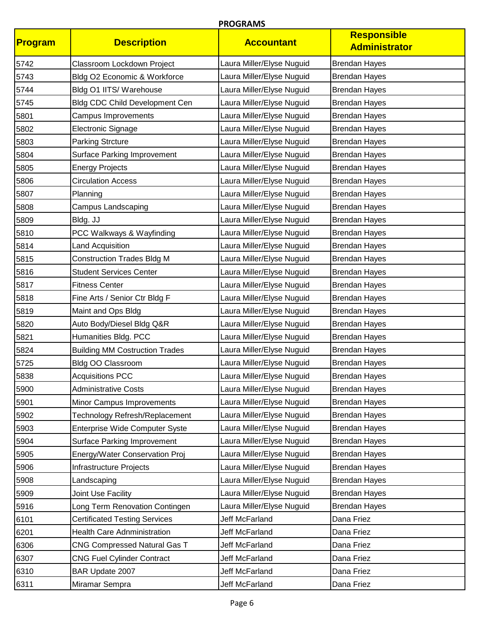| <b>Program</b> | <b>Description</b>                    | <b>Accountant</b>         | <b>Responsible</b><br><b>Administrator</b> |
|----------------|---------------------------------------|---------------------------|--------------------------------------------|
| 5742           | Classroom Lockdown Project            | Laura Miller/Elyse Nuguid | <b>Brendan Hayes</b>                       |
| 5743           | Bldg O2 Economic & Workforce          | Laura Miller/Elyse Nuguid | <b>Brendan Hayes</b>                       |
| 5744           | Bldg O1 IITS/ Warehouse               | Laura Miller/Elyse Nuguid | <b>Brendan Hayes</b>                       |
| 5745           | <b>Bldg CDC Child Development Cen</b> | Laura Miller/Elyse Nuguid | <b>Brendan Hayes</b>                       |
| 5801           | Campus Improvements                   | Laura Miller/Elyse Nuguid | <b>Brendan Hayes</b>                       |
| 5802           | Electronic Signage                    | Laura Miller/Elyse Nuguid | <b>Brendan Hayes</b>                       |
| 5803           | <b>Parking Strcture</b>               | Laura Miller/Elyse Nuguid | <b>Brendan Hayes</b>                       |
| 5804           | <b>Surface Parking Improvement</b>    | Laura Miller/Elyse Nuguid | <b>Brendan Hayes</b>                       |
| 5805           | <b>Energy Projects</b>                | Laura Miller/Elyse Nuguid | <b>Brendan Hayes</b>                       |
| 5806           | <b>Circulation Access</b>             | Laura Miller/Elyse Nuguid | <b>Brendan Hayes</b>                       |
| 5807           | Planning                              | Laura Miller/Elyse Nuguid | <b>Brendan Hayes</b>                       |
| 5808           | Campus Landscaping                    | Laura Miller/Elyse Nuguid | <b>Brendan Hayes</b>                       |
| 5809           | Bldg. JJ                              | Laura Miller/Elyse Nuguid | <b>Brendan Hayes</b>                       |
| 5810           | PCC Walkways & Wayfinding             | Laura Miller/Elyse Nuguid | <b>Brendan Hayes</b>                       |
| 5814           | <b>Land Acquisition</b>               | Laura Miller/Elyse Nuguid | <b>Brendan Hayes</b>                       |
| 5815           | <b>Construction Trades Bldg M</b>     | Laura Miller/Elyse Nuguid | <b>Brendan Hayes</b>                       |
| 5816           | <b>Student Services Center</b>        | Laura Miller/Elyse Nuguid | <b>Brendan Hayes</b>                       |
| 5817           | <b>Fitness Center</b>                 | Laura Miller/Elyse Nuguid | <b>Brendan Hayes</b>                       |
| 5818           | Fine Arts / Senior Ctr Bldg F         | Laura Miller/Elyse Nuguid | <b>Brendan Hayes</b>                       |
| 5819           | Maint and Ops Bldg                    | Laura Miller/Elyse Nuguid | <b>Brendan Hayes</b>                       |
| 5820           | Auto Body/Diesel Bldg Q&R             | Laura Miller/Elyse Nuguid | <b>Brendan Hayes</b>                       |
| 5821           | Humanities Bldg. PCC                  | Laura Miller/Elyse Nuguid | <b>Brendan Hayes</b>                       |
| 5824           | <b>Building MM Costruction Trades</b> | Laura Miller/Elyse Nuguid | <b>Brendan Hayes</b>                       |
| 5725           | Bldg OO Classroom                     | Laura Miller/Elyse Nuguid | <b>Brendan Hayes</b>                       |
| 5838           | <b>Acquisitions PCC</b>               | Laura Miller/Elyse Nuguid | <b>Brendan Hayes</b>                       |
| 5900           | <b>Administrative Costs</b>           | Laura Miller/Elyse Nuguid | <b>Brendan Hayes</b>                       |
| 5901           | Minor Campus Improvements             | Laura Miller/Elyse Nuguid | <b>Brendan Hayes</b>                       |
| 5902           | Technology Refresh/Replacement        | Laura Miller/Elyse Nuguid | <b>Brendan Hayes</b>                       |
| 5903           | Enterprise Wide Computer Syste        | Laura Miller/Elyse Nuguid | <b>Brendan Hayes</b>                       |
| 5904           | <b>Surface Parking Improvement</b>    | Laura Miller/Elyse Nuguid | <b>Brendan Hayes</b>                       |
| 5905           | Energy/Water Conservation Proj        | Laura Miller/Elyse Nuguid | <b>Brendan Hayes</b>                       |
| 5906           | Infrastructure Projects               | Laura Miller/Elyse Nuguid | <b>Brendan Hayes</b>                       |
| 5908           | Landscaping                           | Laura Miller/Elyse Nuguid | <b>Brendan Hayes</b>                       |
| 5909           | Joint Use Facility                    | Laura Miller/Elyse Nuguid | <b>Brendan Hayes</b>                       |
| 5916           | Long Term Renovation Contingen        | Laura Miller/Elyse Nuguid | <b>Brendan Hayes</b>                       |
| 6101           | <b>Certificated Testing Services</b>  | Jeff McFarland            | Dana Friez                                 |
| 6201           | <b>Health Care Adnministration</b>    | Jeff McFarland            | Dana Friez                                 |
| 6306           | CNG Compressed Natural Gas T          | Jeff McFarland            | Dana Friez                                 |
| 6307           | <b>CNG Fuel Cylinder Contract</b>     | Jeff McFarland            | Dana Friez                                 |
| 6310           | BAR Update 2007                       | Jeff McFarland            | Dana Friez                                 |
| 6311           | Miramar Sempra                        | Jeff McFarland            | Dana Friez                                 |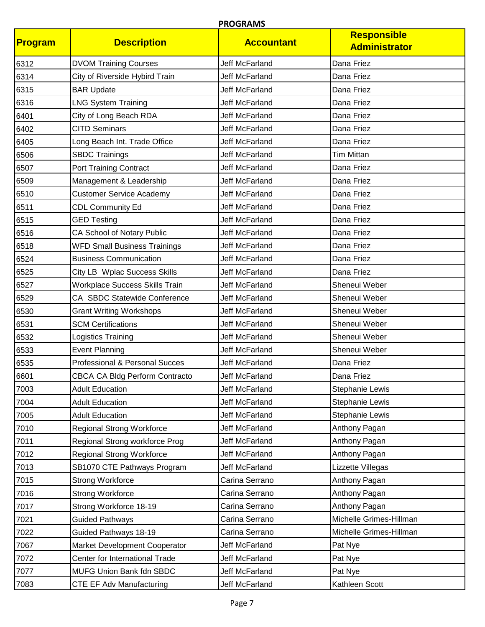| Program | <b>Description</b>                    | <b>Accountant</b>     | <b>Responsible</b><br><b>Administrator</b> |
|---------|---------------------------------------|-----------------------|--------------------------------------------|
| 6312    | <b>DVOM Training Courses</b>          | <b>Jeff McFarland</b> | Dana Friez                                 |
| 6314    | City of Riverside Hybird Train        | Jeff McFarland        | Dana Friez                                 |
| 6315    | <b>BAR Update</b>                     | <b>Jeff McFarland</b> | Dana Friez                                 |
| 6316    | <b>LNG System Training</b>            | <b>Jeff McFarland</b> | Dana Friez                                 |
| 6401    | City of Long Beach RDA                | <b>Jeff McFarland</b> | Dana Friez                                 |
| 6402    | <b>CITD Seminars</b>                  | Jeff McFarland        | Dana Friez                                 |
| 6405    | Long Beach Int. Trade Office          | <b>Jeff McFarland</b> | Dana Friez                                 |
| 6506    | <b>SBDC Trainings</b>                 | <b>Jeff McFarland</b> | <b>Tim Mittan</b>                          |
| 6507    | <b>Port Training Contract</b>         | Jeff McFarland        | Dana Friez                                 |
| 6509    | Management & Leadership               | <b>Jeff McFarland</b> | Dana Friez                                 |
| 6510    | <b>Customer Service Academy</b>       | <b>Jeff McFarland</b> | Dana Friez                                 |
| 6511    | <b>CDL Community Ed</b>               | Jeff McFarland        | Dana Friez                                 |
| 6515    | <b>GED Testing</b>                    | Jeff McFarland        | Dana Friez                                 |
| 6516    | CA School of Notary Public            | Jeff McFarland        | Dana Friez                                 |
| 6518    | <b>WFD Small Business Trainings</b>   | Jeff McFarland        | Dana Friez                                 |
| 6524    | <b>Business Communication</b>         | <b>Jeff McFarland</b> | Dana Friez                                 |
| 6525    | City LB Wplac Success Skills          | Jeff McFarland        | Dana Friez                                 |
| 6527    | <b>Workplace Success Skills Train</b> | <b>Jeff McFarland</b> | Sheneui Weber                              |
| 6529    | CA SBDC Statewide Conference          | <b>Jeff McFarland</b> | Sheneui Weber                              |
| 6530    | <b>Grant Writing Workshops</b>        | Jeff McFarland        | Sheneui Weber                              |
| 6531    | <b>SCM Certifications</b>             | <b>Jeff McFarland</b> | Sheneui Weber                              |
| 6532    | Logistics Training                    | <b>Jeff McFarland</b> | Sheneui Weber                              |
| 6533    | <b>Event Planning</b>                 | <b>Jeff McFarland</b> | Sheneui Weber                              |
| 6535    | Professional & Personal Succes        | <b>Jeff McFarland</b> | Dana Friez                                 |
| 6601    | CBCA CA Bldg Perform Contracto        | Jeff McFarland        | Dana Friez                                 |
| 7003    | <b>Adult Education</b>                | Jeff McFarland        | <b>Stephanie Lewis</b>                     |
| 7004    | <b>Adult Education</b>                | <b>Jeff McFarland</b> | Stephanie Lewis                            |
| 7005    | <b>Adult Education</b>                | Jeff McFarland        | <b>Stephanie Lewis</b>                     |
| 7010    | <b>Regional Strong Workforce</b>      | Jeff McFarland        | Anthony Pagan                              |
| 7011    | Regional Strong workforce Prog        | Jeff McFarland        | Anthony Pagan                              |
| 7012    | <b>Regional Strong Workforce</b>      | Jeff McFarland        | Anthony Pagan                              |
| 7013    | SB1070 CTE Pathways Program           | Jeff McFarland        | Lizzette Villegas                          |
| 7015    | <b>Strong Workforce</b>               | Carina Serrano        | Anthony Pagan                              |
| 7016    | <b>Strong Workforce</b>               | Carina Serrano        | Anthony Pagan                              |
| 7017    | Strong Workforce 18-19                | Carina Serrano        | Anthony Pagan                              |
| 7021    | <b>Guided Pathways</b>                | Carina Serrano        | Michelle Grimes-Hillman                    |
| 7022    | Guided Pathways 18-19                 | Carina Serrano        | Michelle Grimes-Hillman                    |
| 7067    | Market Development Cooperator         | Jeff McFarland        | Pat Nye                                    |
| 7072    | Center for International Trade        | Jeff McFarland        | Pat Nye                                    |
| 7077    | MUFG Union Bank fdn SBDC              | Jeff McFarland        | Pat Nye                                    |
| 7083    | CTE EF Adv Manufacturing              | Jeff McFarland        | Kathleen Scott                             |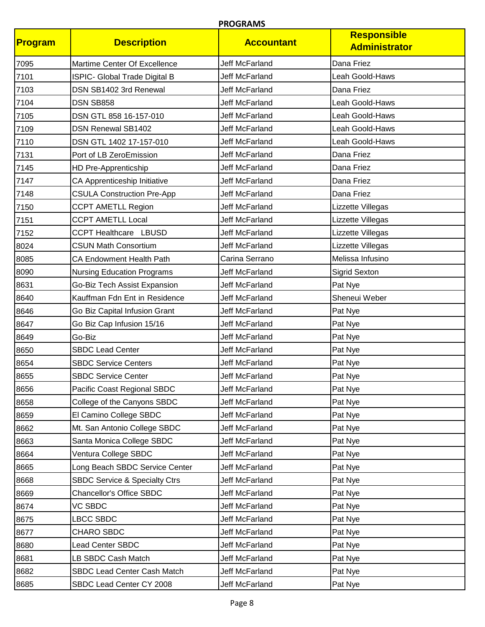| Program | <b>Description</b>                       | <b>Accountant</b>     | <b>Responsible</b><br><b>Administrator</b> |
|---------|------------------------------------------|-----------------------|--------------------------------------------|
| 7095    | Martime Center Of Excellence             | <b>Jeff McFarland</b> | Dana Friez                                 |
| 7101    | ISPIC- Global Trade Digital B            | Jeff McFarland        | Leah Goold-Haws                            |
| 7103    | DSN SB1402 3rd Renewal                   | Jeff McFarland        | Dana Friez                                 |
| 7104    | DSN SB858                                | <b>Jeff McFarland</b> | Leah Goold-Haws                            |
| 7105    | DSN GTL 858 16-157-010                   | <b>Jeff McFarland</b> | Leah Goold-Haws                            |
| 7109    | <b>DSN Renewal SB1402</b>                | Jeff McFarland        | Leah Goold-Haws                            |
| 7110    | DSN GTL 1402 17-157-010                  | <b>Jeff McFarland</b> | Leah Goold-Haws                            |
| 7131    | Port of LB ZeroEmission                  | <b>Jeff McFarland</b> | Dana Friez                                 |
| 7145    | HD Pre-Apprenticship                     | Jeff McFarland        | Dana Friez                                 |
| 7147    | CA Apprenticeship Initiative             | Jeff McFarland        | Dana Friez                                 |
| 7148    | <b>CSULA Construction Pre-App</b>        | <b>Jeff McFarland</b> | Dana Friez                                 |
| 7150    | <b>CCPT AMETLL Region</b>                | Jeff McFarland        | Lizzette Villegas                          |
| 7151    | <b>CCPT AMETLL Local</b>                 | Jeff McFarland        | Lizzette Villegas                          |
| 7152    | <b>CCPT Healthcare LBUSD</b>             | Jeff McFarland        | Lizzette Villegas                          |
| 8024    | <b>CSUN Math Consortium</b>              | Jeff McFarland        | Lizzette Villegas                          |
| 8085    | CA Endowment Health Path                 | Carina Serrano        | Melissa Infusino                           |
| 8090    | <b>Nursing Education Programs</b>        | Jeff McFarland        | <b>Sigrid Sexton</b>                       |
| 8631    | Go-Biz Tech Assist Expansion             | Jeff McFarland        | Pat Nye                                    |
| 8640    | Kauffman Fdn Ent in Residence            | <b>Jeff McFarland</b> | Sheneui Weber                              |
| 8646    | Go Biz Capital Infusion Grant            | Jeff McFarland        | Pat Nye                                    |
| 8647    | Go Biz Cap Infusion 15/16                | Jeff McFarland        | Pat Nye                                    |
| 8649    | Go-Biz                                   | <b>Jeff McFarland</b> | Pat Nye                                    |
| 8650    | <b>SBDC Lead Center</b>                  | <b>Jeff McFarland</b> | Pat Nye                                    |
| 8654    | <b>SBDC Service Centers</b>              | Jeff McFarland        | Pat Nye                                    |
| 8655    | <b>SBDC Service Center</b>               | Jeff McFarland        | Pat Nye                                    |
| 8656    | Pacific Coast Regional SBDC              | Jeff McFarland        | Pat Nye                                    |
| 8658    | College of the Canyons SBDC              | Jeff McFarland        | Pat Nye                                    |
| 8659    | El Camino College SBDC                   | Jeff McFarland        | Pat Nye                                    |
| 8662    | Mt. San Antonio College SBDC             | Jeff McFarland        | Pat Nye                                    |
| 8663    | Santa Monica College SBDC                | Jeff McFarland        | Pat Nye                                    |
| 8664    | Ventura College SBDC                     | Jeff McFarland        | Pat Nye                                    |
| 8665    | Long Beach SBDC Service Center           | Jeff McFarland        | Pat Nye                                    |
| 8668    | <b>SBDC Service &amp; Specialty Ctrs</b> | Jeff McFarland        | Pat Nye                                    |
| 8669    | <b>Chancellor's Office SBDC</b>          | Jeff McFarland        | Pat Nye                                    |
| 8674    | VC SBDC                                  | Jeff McFarland        | Pat Nye                                    |
| 8675    | LBCC SBDC                                | Jeff McFarland        | Pat Nye                                    |
| 8677    | CHARO SBDC                               | Jeff McFarland        | Pat Nye                                    |
| 8680    | Lead Center SBDC                         | Jeff McFarland        | Pat Nye                                    |
| 8681    | LB SBDC Cash Match                       | Jeff McFarland        | Pat Nye                                    |
| 8682    | SBDC Lead Center Cash Match              | Jeff McFarland        | Pat Nye                                    |
| 8685    | SBDC Lead Center CY 2008                 | Jeff McFarland        | Pat Nye                                    |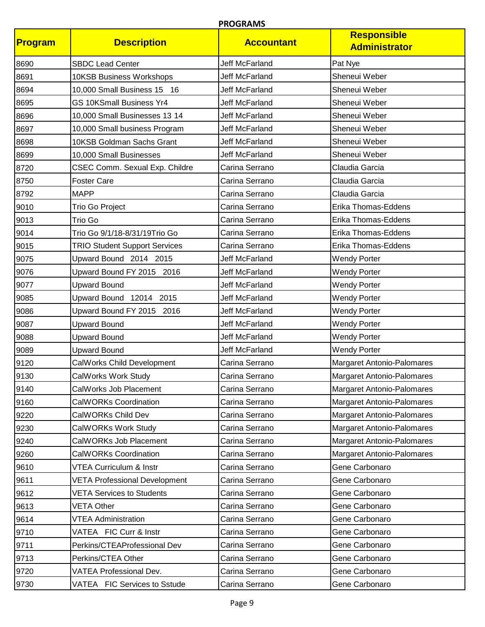| Program | <b>Description</b>                   | <b>Accountant</b>     | <b>Responsible</b><br><b>Administrator</b> |
|---------|--------------------------------------|-----------------------|--------------------------------------------|
| 8690    | <b>SBDC Lead Center</b>              | <b>Jeff McFarland</b> | Pat Nye                                    |
| 8691    | 10KSB Business Workshops             | <b>Jeff McFarland</b> | Sheneui Weber                              |
| 8694    | 10,000 Small Business 15 16          | Jeff McFarland        | Sheneui Weber                              |
| 8695    | GS 10KSmall Business Yr4             | Jeff McFarland        | Sheneui Weber                              |
| 8696    | 10,000 Small Businesses 13 14        | Jeff McFarland        | Sheneui Weber                              |
| 8697    | 10,000 Small business Program        | Jeff McFarland        | Sheneui Weber                              |
| 8698    | 10KSB Goldman Sachs Grant            | Jeff McFarland        | Sheneui Weber                              |
| 8699    | 10,000 Small Businesses              | Jeff McFarland        | Sheneui Weber                              |
| 8720    | CSEC Comm. Sexual Exp. Childre       | Carina Serrano        | Claudia Garcia                             |
| 8750    | <b>Foster Care</b>                   | Carina Serrano        | Claudia Garcia                             |
| 8792    | <b>MAPP</b>                          | Carina Serrano        | Claudia Garcia                             |
| 9010    | Trio Go Project                      | Carina Serrano        | Erika Thomas-Eddens                        |
| 9013    | Trio Go                              | Carina Serrano        | Erika Thomas-Eddens                        |
| 9014    | Trio Go 9/1/18-8/31/19Trio Go        | Carina Serrano        | Erika Thomas-Eddens                        |
| 9015    | <b>TRIO Student Support Services</b> | Carina Serrano        | Erika Thomas-Eddens                        |
| 9075    | Upward Bound 2014 2015               | Jeff McFarland        | <b>Wendy Porter</b>                        |
| 9076    | Upward Bound FY 2015 2016            | Jeff McFarland        | <b>Wendy Porter</b>                        |
| 9077    | <b>Upward Bound</b>                  | <b>Jeff McFarland</b> | <b>Wendy Porter</b>                        |
| 9085    | Upward Bound 12014 2015              | <b>Jeff McFarland</b> | <b>Wendy Porter</b>                        |
| 9086    | Upward Bound FY 2015 2016            | Jeff McFarland        | <b>Wendy Porter</b>                        |
| 9087    | <b>Upward Bound</b>                  | Jeff McFarland        | <b>Wendy Porter</b>                        |
| 9088    | <b>Upward Bound</b>                  | <b>Jeff McFarland</b> | <b>Wendy Porter</b>                        |
| 9089    | <b>Upward Bound</b>                  | Jeff McFarland        | <b>Wendy Porter</b>                        |
| 9120    | CalWorks Child Development           | Carina Serrano        | Margaret Antonio-Palomares                 |
| 9130    | CalWorks Work Study                  | Carina Serrano        | Margaret Antonio-Palomares                 |
| 9140    | CalWorks Job Placement               | Carina Serrano        | Margaret Antonio-Palomares                 |
| 9160    | <b>CalWORKs Coordination</b>         | Carina Serrano        | Margaret Antonio-Palomares                 |
| 9220    | CalWORKs Child Dev                   | Carina Serrano        | <b>Margaret Antonio-Palomares</b>          |
| 9230    | CalWORKs Work Study                  | Carina Serrano        | Margaret Antonio-Palomares                 |
| 9240    | CalWORKs Job Placement               | Carina Serrano        | Margaret Antonio-Palomares                 |
| 9260    | <b>CalWORKs Coordination</b>         | Carina Serrano        | Margaret Antonio-Palomares                 |
| 9610    | VTEA Curriculum & Instr              | Carina Serrano        | Gene Carbonaro                             |
| 9611    | <b>VETA Professional Development</b> | Carina Serrano        | Gene Carbonaro                             |
| 9612    | <b>VETA Services to Students</b>     | Carina Serrano        | Gene Carbonaro                             |
| 9613    | VETA Other                           | Carina Serrano        | Gene Carbonaro                             |
| 9614    | <b>VTEA Administration</b>           | Carina Serrano        | Gene Carbonaro                             |
| 9710    | VATEA FIC Curr & Instr               | Carina Serrano        | Gene Carbonaro                             |
| 9711    | Perkins/CTEAProfessional Dev         | Carina Serrano        | Gene Carbonaro                             |
| 9713    | Perkins/CTEA Other                   | Carina Serrano        | Gene Carbonaro                             |
| 9720    | VATEA Professional Dev.              | Carina Serrano        | Gene Carbonaro                             |
| 9730    | VATEA FIC Services to Sstude         | Carina Serrano        | Gene Carbonaro                             |